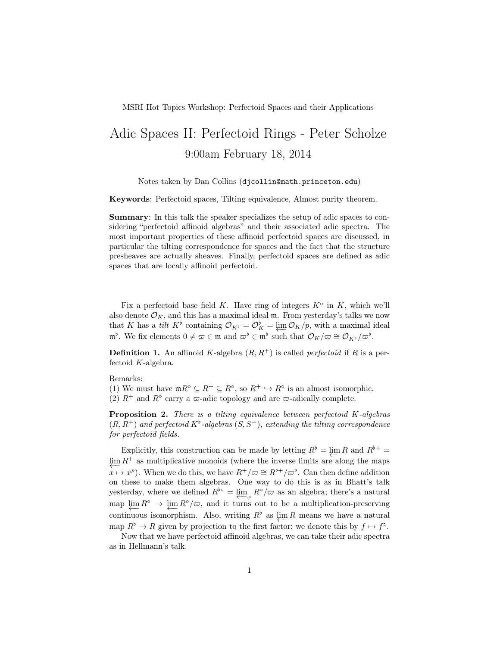MSRI Hot Topics Workshop: Perfectoid Spaces and their Applications

## Adic Spaces II: Perfectoid Rings - Peter Scholze 9:00am February 18, 2014

Notes taken by Dan Collins (djcollin@math.princeton.edu)

Keywords: Perfectoid spaces, Tilting equivalence, Almost purity theorem.

Summary: In this talk the speaker specializes the setup of adic spaces to considering "perfectoid affinoid algebras" and their associated adic spectra. The most important properties of these affinoid perfectoid spaces are discussed, in particular the tilting correspondence for spaces and the fact that the structure presheaves are actually sheaves. Finally, perfectoid spaces are defined as adic spaces that are locally affinoid perfectoid.

Fix a perfectoid base field K. Have ring of integers  $K^{\circ}$  in K, which we'll also denote  $\mathcal{O}_K$ , and this has a maximal ideal  $\mathfrak{m}$ . From yesterday's talks we now that K has a *tilt* K<sup>b</sup> containing  $\mathcal{O}_{K^{\flat}} = \mathcal{O}_{K}^{\flat} = \varprojlim \mathcal{O}_{K}/p$ , with a maximal ideal  $\mathfrak{m}^{\flat}$ . We fix elements  $0 \neq \varpi \in \mathfrak{m}$  and  $\varpi^{\flat} \in \mathfrak{m}^{\flat}$  such that  $\mathcal{O}_K/\varpi \cong \mathcal{O}_{K^{\flat}}/\varpi^{\flat}$ .

**Definition 1.** An affinoid K-algebra  $(R, R^+)$  is called *perfectoid* if R is a perfectoid K-algebra.

Remarks:

(1) We must have  $m R^{\circ} \subseteq R^+ \subseteq R^{\circ}$ , so  $R^+ \hookrightarrow R^{\circ}$  is an almost isomorphic. (2)  $R^+$  and  $R^{\circ}$  carry a  $\varpi$ -adic topology and are  $\varpi$ -adically complete.

**Proposition 2.** There is a tilting equivalence between perfectoid  $K$ -algebras  $(R, R^+)$  and perfectoid  $K^{\flat}$ -algebras  $(S, S^+)$ , extending the tilting correspondence for perfectoid fields.

Explicitly, this construction can be made by letting  $R^{\flat} = \varprojlim R$  and  $R^{\flat +} =$  $\varprojlim R^+$  as multiplicative monoids (where the inverse limits are along the maps  $x \mapsto x^p$ ). When we do this, we have  $R^+/\varpi \cong R^{\flat +}/\varpi^{\flat}$ . Can then define addition on these to make them algebras. One way to do this is as in Bhatt's talk yesterday, where we defined  $R^{\flat \circ} = \underleftarrow{\lim}_{\varphi} R^{\circ}/\varpi$  as an algebra; there's a natural map  $\varprojlim R^{\circ} \to \varprojlim R^{\circ}/\varpi$ , and it turns out to be a multiplication-preserving continuous isomorphism. Also, writing  $R^{\flat}$  as  $\varprojlim R$  means we have a natural map  $R^{\flat} \to R$  given by projection to the first factor; we denote this by  $f \mapsto f^{\sharp}$ .

Now that we have perfectoid affinoid algebras, we can take their adic spectra as in Hellmann's talk.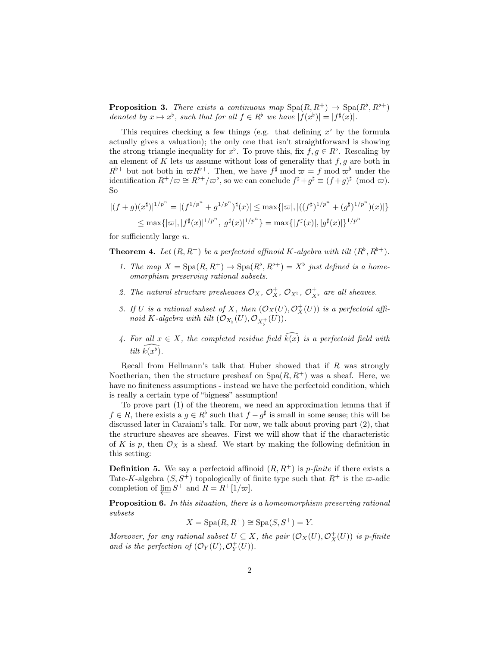**Proposition 3.** There exists a continuous map  $\text{Spa}(R, R^+) \to \text{Spa}(R^{\flat}, R^{\flat +})$ denoted by  $x \mapsto x^{\flat}$ , such that for all  $f \in R^{\flat}$  we have  $|f(x^{\flat})| = |f^{\sharp}(x)|$ .

This requires checking a few things (e.g. that defining  $x^{\flat}$  by the formula actually gives a valuation); the only one that isn't straightforward is showing the strong triangle inequality for  $x^{\flat}$ . To prove this, fix  $f, g \in R^{\flat}$ . Rescaling by an element of  $K$  lets us assume without loss of generality that  $f, g$  are both in  $R^{\flat +}$  but not both in  $\varpi R^{\flat +}$ . Then, we have  $f^{\sharp}$  mod  $\varpi = f$  mod  $\varpi^{\flat}$  under the identification  $R^+/\varpi \cong R^{\flat +}/\varpi^{\flat}$ , so we can conclude  $f^{\sharp}+g^{\sharp} \equiv (f+g)^{\sharp} \pmod{\varpi}$ . So

$$
|(f+g)(x^{\sharp})|^{1/p^n} = |(f^{1/p^n} + g^{1/p^n})^{\sharp}(x)| \le \max\{|\varpi|, |((f^{\sharp})^{1/p^n} + (g^{\sharp})^{1/p^n})(x)|\}
$$
  

$$
\le \max\{|\varpi|, |f^{\sharp}(x)|^{1/p^n}, |g^{\sharp}(x)|^{1/p^n}\} = \max\{|f^{\sharp}(x)|, |g^{\sharp}(x)|\}^{1/p^n}
$$

for sufficiently large n.

**Theorem 4.** Let  $(R, R^+)$  be a perfectoid affinoid K-algebra with tilt  $(R^{\flat}, R^{\flat +})$ .

- 1. The map  $X = \text{Spa}(R, R^+) \to \text{Spa}(R^{\flat}, R^{\flat +}) = X^{\flat}$  just defined is a homeomorphism preserving rational subsets.
- 2. The natural structure presheaves  $\mathcal{O}_X$ ,  $\mathcal{O}_X^+$ ,  $\mathcal{O}_{X^{\flat}}$ ,  $\mathcal{O}_{X^{\flat}}^+$  are all sheaves.
- 3. If U is a rational subset of X, then  $(\mathcal{O}_X(U), \mathcal{O}_X^+(U))$  is a perfectoid affinoid K-algebra with tilt  $(\mathcal{O}_{X_{\flat}}(U), \mathcal{O}_{X_{\flat}^+}(U)).$
- 4. For all  $x \in X$ , the completed residue field  $\widehat{k(x)}$  is a perfectoid field with tilt  $\widehat{k(x^{\flat})}$ .

Recall from Hellmann's talk that Huber showed that if R was strongly Noetherian, then the structure presheaf on  $Spa(R, R^+)$  was a sheaf. Here, we have no finiteness assumptions - instead we have the perfectoid condition, which is really a certain type of "bigness" assumption!

To prove part (1) of the theorem, we need an approximation lemma that if  $f \in R$ , there exists a  $g \in R^{\flat}$  such that  $f - g^{\sharp}$  is small in some sense; this will be discussed later in Caraiani's talk. For now, we talk about proving part (2), that the structure sheaves are sheaves. First we will show that if the characteristic of K is p, then  $\mathcal{O}_X$  is a sheaf. We start by making the following definition in this setting:

**Definition 5.** We say a perfectoid affinoid  $(R, R^+)$  is *p*-finite if there exists a Tate-K-algebra  $(S, S^+)$  topologically of finite type such that  $R^+$  is the  $\infty$ -adic completion of  $\underleftarrow{\lim} S^+$  and  $R = R^+[1/\varpi]$ .

Proposition 6. In this situation, there is a homeomorphism preserving rational subsets

 $X = \text{Spa}(R, R^+) \cong \text{Spa}(S, S^+) = Y.$ 

Moreover, for any rational subset  $U \subseteq X$ , the pair  $(\mathcal{O}_X(U), \mathcal{O}_X^+(U))$  is p-finite and is the perfection of  $(\mathcal{O}_Y(U), \mathcal{O}_Y^+(U)).$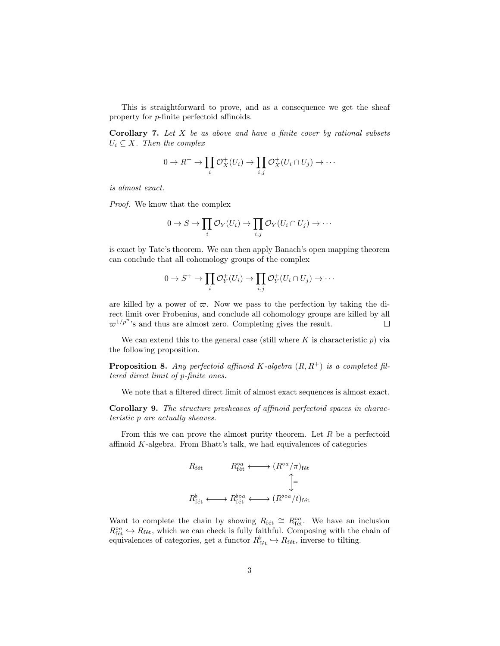This is straightforward to prove, and as a consequence we get the sheaf property for p-finite perfectoid affinoids.

**Corollary 7.** Let  $X$  be as above and have a finite cover by rational subsets  $U_i \subseteq X$ . Then the complex

$$
0 \to R^+ \to \prod_i \mathcal{O}_X^+(U_i) \to \prod_{i,j} \mathcal{O}_X^+(U_i \cap U_j) \to \cdots
$$

is almost exact.

Proof. We know that the complex

$$
0 \to S \to \prod_i \mathcal{O}_Y(U_i) \to \prod_{i,j} \mathcal{O}_Y(U_i \cap U_j) \to \cdots
$$

is exact by Tate's theorem. We can then apply Banach's open mapping theorem can conclude that all cohomology groups of the complex

$$
0 \to S^+ \to \prod_i \mathcal{O}_Y^+(U_i) \to \prod_{i,j} \mathcal{O}_Y^+(U_i \cap U_j) \to \cdots
$$

are killed by a power of  $\varpi$ . Now we pass to the perfection by taking the direct limit over Frobenius, and conclude all cohomology groups are killed by all  $\varpi^{1/p^n}$ 's and thus are almost zero. Completing gives the result.  $\Box$ 

We can extend this to the general case (still where  $K$  is characteristic  $p$ ) via the following proposition.

**Proposition 8.** Any perfectoid affinoid K-algebra  $(R, R^+)$  is a completed filtered direct limit of p-finite ones.

We note that a filtered direct limit of almost exact sequences is almost exact.

Corollary 9. The structure presheaves of affinoid perfectoid spaces in characteristic p are actually sheaves.

From this we can prove the almost purity theorem. Let  $R$  be a perfectoid affinoid  $K$ -algebra. From Bhatt's talk, we had equivalences of categories

$$
R_{\text{fét}} \longrightarrow (R^{\circ a}/\pi)_{\text{fét}}
$$
\n
$$
\uparrow
$$
\n
$$
R_{\text{fét}}^{\flat} \longleftarrow R_{\text{fét}}^{\flat \circ a} \longleftarrow (R^{\flat \circ a}/t)_{\text{fét}}
$$

Want to complete the chain by showing  $R_{\text{fét}} \cong R_{\text{fét}}^{\circ a}$ . We have an inclusion  $R_{\rm f\acute{e}t}^{\circ a} \hookrightarrow R_{\rm f\acute{e}t}$ , which we can check is fully faithful. Composing with the chain of equivalences of categories, get a functor  $R_{\text{fét}}^{\flat} \hookrightarrow R_{\text{fét}}$ , inverse to tilting.